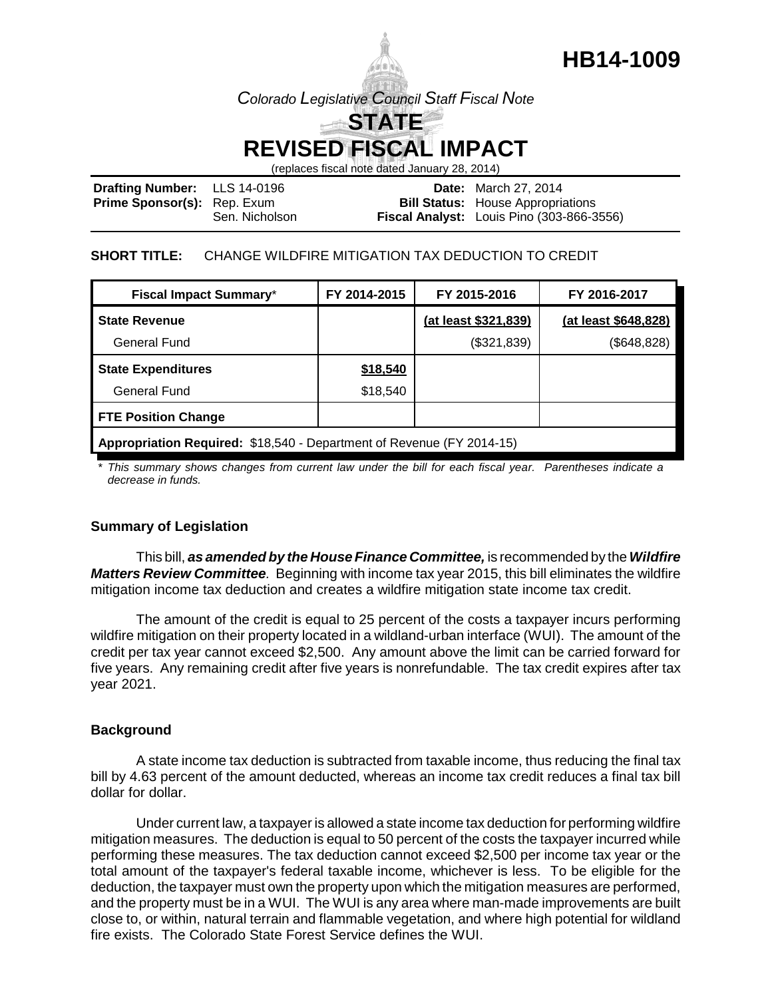

**HB14-1009**

# **REVISED FISCAL IMPACT**

(replaces fiscal note dated January 28, 2014)

| <b>Drafting Number:</b> LLS 14-0196 |                | <b>Date:</b> March 27, 2014                      |
|-------------------------------------|----------------|--------------------------------------------------|
| <b>Prime Sponsor(s):</b> Rep. Exum  |                | <b>Bill Status:</b> House Appropriations         |
|                                     | Sen. Nicholson | <b>Fiscal Analyst:</b> Louis Pino (303-866-3556) |

#### **SHORT TITLE:** CHANGE WILDFIRE MITIGATION TAX DEDUCTION TO CREDIT

| <b>Fiscal Impact Summary*</b>                                         | FY 2014-2015 | FY 2015-2016         | FY 2016-2017         |  |  |
|-----------------------------------------------------------------------|--------------|----------------------|----------------------|--|--|
| <b>State Revenue</b>                                                  |              | (at least \$321,839) | (at least \$648,828) |  |  |
| General Fund                                                          |              | (\$321,839)          | (\$648, 828)         |  |  |
| <b>State Expenditures</b>                                             | \$18,540     |                      |                      |  |  |
| General Fund                                                          | \$18,540     |                      |                      |  |  |
| <b>FTE Position Change</b>                                            |              |                      |                      |  |  |
| Appropriation Required: \$18,540 - Department of Revenue (FY 2014-15) |              |                      |                      |  |  |

*\* This summary shows changes from current law under the bill for each fiscal year. Parentheses indicate a decrease in funds.*

## **Summary of Legislation**

This bill, *as amended by the House Finance Committee,* is recommended by the *Wildfire Matters Review Committee.* Beginning with income tax year 2015, this bill eliminates the wildfire mitigation income tax deduction and creates a wildfire mitigation state income tax credit.

The amount of the credit is equal to 25 percent of the costs a taxpayer incurs performing wildfire mitigation on their property located in a wildland-urban interface (WUI). The amount of the credit per tax year cannot exceed \$2,500. Any amount above the limit can be carried forward for five years. Any remaining credit after five years is nonrefundable. The tax credit expires after tax year 2021.

#### **Background**

A state income tax deduction is subtracted from taxable income, thus reducing the final tax bill by 4.63 percent of the amount deducted, whereas an income tax credit reduces a final tax bill dollar for dollar.

Under current law, a taxpayer is allowed a state income tax deduction for performing wildfire mitigation measures. The deduction is equal to 50 percent of the costs the taxpayer incurred while performing these measures. The tax deduction cannot exceed \$2,500 per income tax year or the total amount of the taxpayer's federal taxable income, whichever is less. To be eligible for the deduction, the taxpayer must own the property upon which the mitigation measures are performed, and the property must be in a WUI. The WUI is any area where man-made improvements are built close to, or within, natural terrain and flammable vegetation, and where high potential for wildland fire exists. The Colorado State Forest Service defines the WUI.